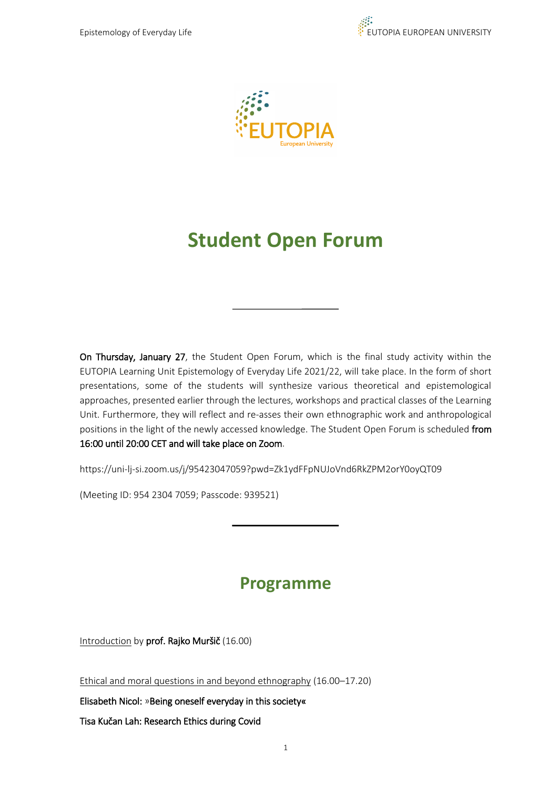



## **Student Open Forum**

On Thursday, January 27, the Student Open Forum, which is the final study activity within the EUTOPIA Learning Unit Epistemology of Everyday Life 2021/22, will take place. In the form of short presentations, some of the students will synthesize various theoretical and epistemological approaches, presented earlier through the lectures, workshops and practical classes of the Learning Unit. Furthermore, they will reflect and re-asses their own ethnographic work and anthropological positions in the light of the newly accessed knowledge. The Student Open Forum is scheduled from 16:00 until 20:00 CET and will take place on Zoom.

https://uni-lj-si.zoom.us/j/95423047059?pwd=Zk1ydFFpNUJoVnd6RkZPM2orY0oyQT09

(Meeting ID: 954 2304 7059; Passcode: 939521)

## **Programme**

Introduction by prof. Rajko Muršič (16.00)

Ethical and moral questions in and beyond ethnography (16.00–17.20)

Elisabeth Nicol: »Being oneself everyday in this society«

Tisa Kučan Lah: Research Ethics during Covid